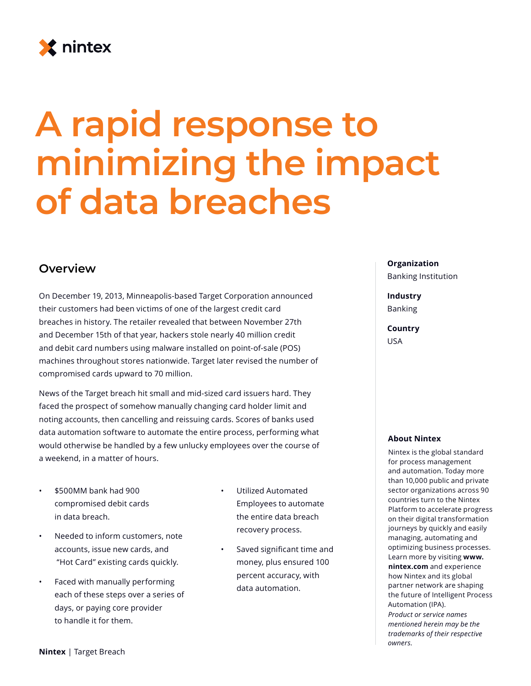

# **A rapid response to minimizing the impact of data breaches**

### **Overview**

On December 19, 2013, Minneapolis-based Target Corporation announced their customers had been victims of one of the largest credit card breaches in history. The retailer revealed that between November 27th and December 15th of that year, hackers stole nearly 40 million credit and debit card numbers using malware installed on point-of-sale (POS) machines throughout stores nationwide. Target later revised the number of compromised cards upward to 70 million.

News of the Target breach hit small and mid-sized card issuers hard. They faced the prospect of somehow manually changing card holder limit and noting accounts, then cancelling and reissuing cards. Scores of banks used data automation software to automate the entire process, performing what would otherwise be handled by a few unlucky employees over the course of a weekend, in a matter of hours.

- \$500MM bank had 900 compromised debit cards in data breach.
- Needed to inform customers, note accounts, issue new cards, and "Hot Card" existing cards quickly.
- Faced with manually performing each of these steps over a series of days, or paying core provider to handle it for them.
- Utilized Automated Employees to automate the entire data breach recovery process.
	- Saved significant time and money, plus ensured 100 percent accuracy, with data automation.

#### **Organization**

Banking Institution

## **Industry**

Banking

#### **Country** USA

#### **About Nintex**

Nintex is the global standard for process management and automation. Today more than 10,000 public and private sector organizations across 90 countries turn to the Nintex Platform to accelerate progress on their digital transformation journeys by quickly and easily managing, automating and optimizing business processes. Learn more by visiting **www. nintex.com** and experience how Nintex and its global partner network are shaping the future of Intelligent Process Automation (IPA). *Product or service names mentioned herein may be the trademarks of their respective owners.*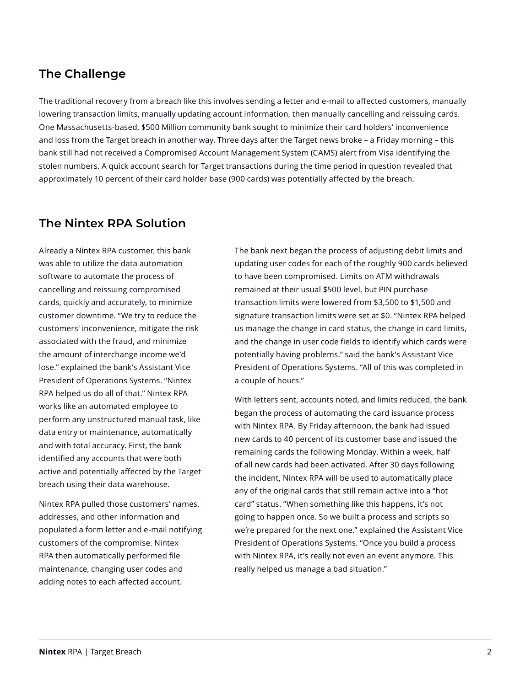## **The Challenge**

The traditional recovery from a breach like this involves sending a letter and e-mail to affected customers, manually lowering transaction limits, manually updating account information, then manually cancelling and reissuing cards. One Massachusetts-based, \$500 Million community bank sought to minimize their card holders' inconvenience and loss from the Target breach in another way. Three days after the Target news broke – a Friday morning – this bank still had not received a Compromised Account Management System (CAMS) alert from Visa identifying the stolen numbers. A quick account search for Target transactions during the time period in question revealed that approximately 10 percent of their card holder base (900 cards) was potentially affected by the breach.

## **The Nintex RPA Solution**

Already a Nintex RPA customer, this bank was able to utilize the data automation software to automate the process of cancelling and reissuing compromised cards, quickly and accurately, to minimize customer downtime. "We try to reduce the customers' inconvenience, mitigate the risk associated with the fraud, and minimize the amount of interchange income we'd lose." explained the bank's Assistant Vice President of Operations Systems. "Nintex RPA helped us do all of that." Nintex RPA works like an automated employee to perform any unstructured manual task, like data entry or maintenance, automatically and with total accuracy. First, the bank identified any accounts that were both active and potentially affected by the Target breach using their data warehouse.

Nintex RPA pulled those customers' names, addresses, and other information and populated a form letter and e-mail notifying customers of the compromise. Nintex RPA then automatically performed file maintenance, changing user codes and adding notes to each affected account.

The bank next began the process of adjusting debit limits and updating user codes for each of the roughly 900 cards believed to have been compromised. Limits on ATM withdrawals remained at their usual \$500 level, but PIN purchase transaction limits were lowered from \$3,500 to \$1,500 and signature transaction limits were set at \$0. "Nintex RPA helped us manage the change in card status, the change in card limits, and the change in user code fields to identify which cards were potentially having problems." said the bank's Assistant Vice President of Operations Systems. "All of this was completed in a couple of hours."

With letters sent, accounts noted, and limits reduced, the bank began the process of automating the card issuance process with Nintex RPA. By Friday afternoon, the bank had issued new cards to 40 percent of its customer base and issued the remaining cards the following Monday. Within a week, half of all new cards had been activated. After 30 days following the incident, Nintex RPA will be used to automatically place any of the original cards that still remain active into a "hot card" status. "When something like this happens, it's not going to happen once. So we built a process and scripts so we're prepared for the next one." explained the Assistant Vice President of Operations Systems. "Once you build a process with Nintex RPA, it's really not even an event anymore. This really helped us manage a bad situation."